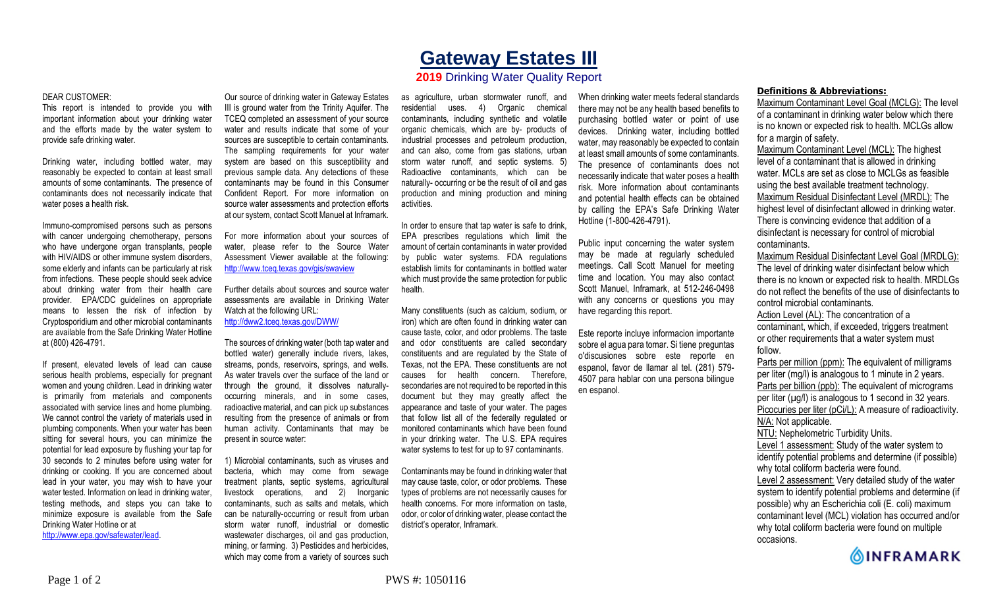## **Gateway Estates III**

## **2019** Drinking Water Quality Report

## DEAR CUSTOMER:

This report is intended to provide you with important information about your drinking water and the efforts made by the water system to provide safe drinking water.

Drinking water, including bottled water, may reasonably be expected to contain at least small amounts of some contaminants. The presence of contaminants does not necessarily indicate that water poses a health risk.

Immuno-compromised persons such as persons with cancer undergoing chemotherapy, persons who have undergone organ transplants, people with HIV/AIDS or other immune system disorders, some elderly and infants can be particularly at risk from infections. These people should seek advice about drinking water from their health care provider. EPA/CDC guidelines on appropriate means to lessen the risk of infection by Cryptosporidium and other microbial contaminants are available from the Safe Drinking Water Hotline at (800) 426-4791.

If present, elevated levels of lead can cause serious health problems, especially for pregnant women and young children. Lead in drinking water is primarily from materials and components associated with service lines and home plumbing. We cannot control the variety of materials used in plumbing components. When your water has been sitting for several hours, you can minimize the potential for lead exposure by flushing your tap for 30 seconds to 2 minutes before using water for drinking or cooking. If you are concerned about lead in your water, you may wish to have your water tested. Information on lead in drinking water, testing methods, and steps you can take to minimize exposure is available from the Safe Drinking Water Hotline or at http://www.epa.gov/safewater/lead.

Our source of drinking water in Gateway Estates III is ground water from the Trinity Aquifer. The TCEQ completed an assessment of your source water and results indicate that some of your sources are susceptible to certain contaminants. The sampling requirements for your water system are based on this susceptibility and previous sample data. Any detections of these contaminants may be found in this Consumer Confident Report. For more information on source water assessments and protection efforts at our system, contact Scott Manuel at Inframark.

For more information about your sources of water, please refer to the Source Water Assessment Viewer available at the following: http://www.tceq.texas.gov/gis/swaview

Further details about sources and source water assessments are available in Drinking Water Watch at the following URL: http://dww2.tceq.texas.gov/DWW/

The sources of drinking water (both tap water and bottled water) generally include rivers, lakes, streams, ponds, reservoirs, springs, and wells. As water travels over the surface of the land or through the ground, it dissolves naturallyoccurring minerals, and in some cases, radioactive material, and can pick up substances resulting from the presence of animals or from human activity. Contaminants that may be present in source water:

1) Microbial contaminants, such as viruses and bacteria, which may come from sewage treatment plants, septic systems, agricultural livestock operations, and 2) Inorganic contaminants, such as salts and metals, which can be naturally-occurring or result from urban storm water runoff, industrial or domestic wastewater discharges, oil and gas production, mining, or farming. 3) Pesticides and herbicides, which may come from a variety of sources such

as agriculture, urban stormwater runoff, and residential uses. 4) Organic chemical contaminants, including synthetic and volatile organic chemicals, which are by- products of industrial processes and petroleum production, and can also, come from gas stations, urban storm water runoff, and septic systems. 5) Radioactive contaminants, which can be naturally- occurring or be the result of oil and gas production and mining production and mining activities.

In order to ensure that tap water is safe to drink, EPA prescribes regulations which limit the amount of certain contaminants in water provided by public water systems. FDA regulations establish limits for contaminants in bottled water which must provide the same protection for public health.

Many constituents (such as calcium, sodium, or iron) which are often found in drinking water can cause taste, color, and odor problems. The taste and odor constituents are called secondary constituents and are regulated by the State of Texas, not the EPA. These constituents are not causes for health concern. Therefore, secondaries are not required to be reported in this document but they may greatly affect the appearance and taste of your water. The pages that follow list all of the federally regulated or monitored contaminants which have been found in your drinking water. The U.S. EPA requires water systems to test for up to 97 contaminants.

Contaminants may be found in drinking water that may cause taste, color, or odor problems. These types of problems are not necessarily causes for health concerns. For more information on taste, odor, or color of drinking water, please contact the district's operator, Inframark.

When drinking water meets federal standards there may not be any health based benefits to purchasing bottled water or point of use devices. Drinking water, including bottled water, may reasonably be expected to contain at least small amounts of some contaminants. The presence of contaminants does not necessarily indicate that water poses a health risk. More information about contaminants and potential health effects can be obtained by calling the EPA's Safe Drinking Water Hotline (1-800-426-4791).

Public input concerning the water system may be made at regularly scheduled meetings. Call Scott Manuel for meeting time and location. You may also contact Scott Manuel, Inframark, at 512-246-0498 with any concerns or questions you may have regarding this report.

Este reporte incluye informacion importante sobre el agua para tomar. Si tiene preguntas o'discusiones sobre este reporte en espanol, favor de llamar al tel. (281) 579- 4507 para hablar con una persona bilingue en espanol.

## **Definitions & Abbreviations:**

Maximum Contaminant Level Goal (MCLG): The level of a contaminant in drinking water below which there is no known or expected risk to health. MCLGs allow for a margin of safety.

Maximum Contaminant Level (MCL): The highest level of a contaminant that is allowed in drinking water. MCLs are set as close to MCLGs as feasible using the best available treatment technology. Maximum Residual Disinfectant Level (MRDL): The highest level of disinfectant allowed in drinking water. There is convincing evidence that addition of a disinfectant is necessary for control of microbial contaminants.

Maximum Residual Disinfectant Level Goal (MRDLG): The level of drinking water disinfectant below which there is no known or expected risk to health. MRDLGs do not reflect the benefits of the use of disinfectants to control microbial contaminants.

Action Level (AL): The concentration of a contaminant, which, if exceeded, triggers treatment or other requirements that a water system must follow.

Parts per million (ppm): The equivalent of milligrams per liter (mg/l) is analogous to 1 minute in 2 years. Parts per billion (ppb): The equivalent of micrograms per liter  $(\mu g/l)$  is analogous to 1 second in 32 years. Picocuries per liter (pCi/L): A measure of radioactivity. N/A: Not applicable. NTU: Nephelometric Turbidity Units.

Level 1 assessment: Study of the water system to identify potential problems and determine (if possible) why total coliform bacteria were found.

Level 2 assessment: Very detailed study of the water system to identify potential problems and determine (if possible) why an Escherichia coli (E. coli) maximum contaminant level (MCL) violation has occurred and/or why total coliform bacteria were found on multiple occasions.

**OINFRAMARK**